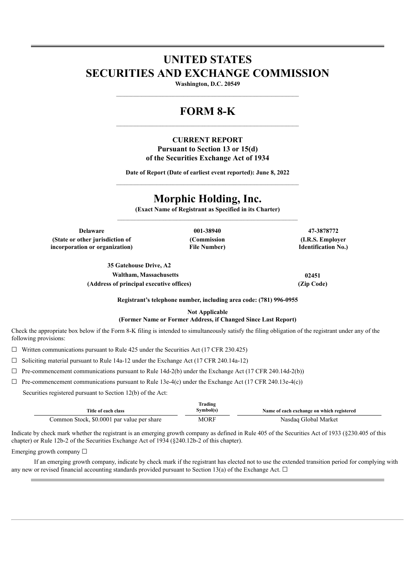# **UNITED STATES SECURITIES AND EXCHANGE COMMISSION**

**Washington, D.C. 20549** \_\_\_\_\_\_\_\_\_\_\_\_\_\_\_\_\_\_\_\_\_\_\_\_\_\_\_\_\_\_\_\_\_\_\_\_\_\_\_\_\_\_\_\_\_\_\_\_\_\_\_\_\_\_\_\_\_\_\_\_\_\_\_\_\_\_\_\_\_\_\_\_\_\_\_\_\_\_\_\_\_\_\_\_\_\_\_

## **FORM 8-K**

### **CURRENT REPORT Pursuant to Section 13 or 15(d) of the Securities Exchange Act of 1934**

**Date of Report (Date of earliest event reported): June 8, 2022**  $\_$  , and the set of the set of the set of the set of the set of the set of the set of the set of the set of the set of the set of the set of the set of the set of the set of the set of the set of the set of the set of th

## **Morphic Holding, Inc.**

**(Exact Name of Registrant as Specified in its Charter)**

**Delaware 001-38940 47-3878772 (State or other jurisdiction of incorporation or organization)**

**(Commission File Number)**

**(I.R.S. Employer Identification No.)**

**35 Gatehouse Drive, A2 Waltham, Massachusetts 02451 (Address of principal executive offices) (Zip Code)**

**Registrant's telephone number, including area code: (781) 996-0955**

**Not Applicable**

#### **(Former Name or Former Address, if Changed Since Last Report)**

Check the appropriate box below if the Form 8-K filing is intended to simultaneously satisfy the filing obligation of the registrant under any of the following provisions:

 $\Box$  Written communications pursuant to Rule 425 under the Securities Act (17 CFR 230.425)

 $\Box$  Soliciting material pursuant to Rule 14a-12 under the Exchange Act (17 CFR 240.14a-12)

 $\Box$  Pre-commencement communications pursuant to Rule 14d-2(b) under the Exchange Act (17 CFR 240.14d-2(b))

 $\Box$  Pre-commencement communications pursuant to Rule 13e-4(c) under the Exchange Act (17 CFR 240.13e-4(c))

Securities registered pursuant to Section 12(b) of the Act:

|                                            | Trading   |                                           |
|--------------------------------------------|-----------|-------------------------------------------|
| Title of each class                        | Symbol(s) | Name of each exchange on which registered |
| Common Stock, \$0.0001 par value per share | MORF      | Nasdaq Global Market                      |

Indicate by check mark whether the registrant is an emerging growth company as defined in Rule 405 of the Securities Act of 1933 (§230.405 of this chapter) or Rule 12b-2 of the Securities Exchange Act of 1934 (§240.12b-2 of this chapter).

Emerging growth company □

If an emerging growth company, indicate by check mark if the registrant has elected not to use the extended transition period for complying with any new or revised financial accounting standards provided pursuant to Section 13(a) of the Exchange Act.  $\Box$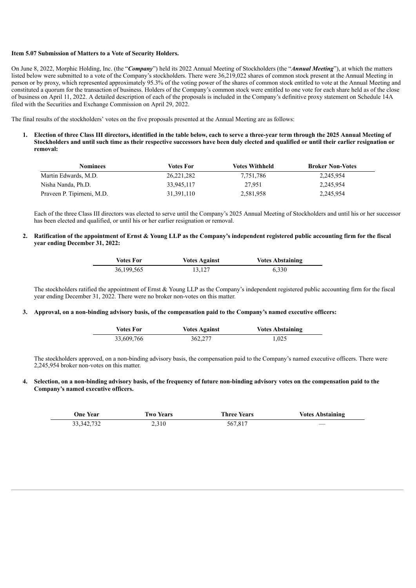#### **Item 5.07 Submission of Matters to a Vote of Security Holders.**

On June 8, 2022, Morphic Holding, Inc. (the "*Company*") held its 2022 Annual Meeting of Stockholders (the "*Annual Meeting*"), at which the matters listed below were submitted to a vote of the Company's stockholders. There were 36,219,022 shares of common stock present at the Annual Meeting in person or by proxy, which represented approximately 95.3% of the voting power of the shares of common stock entitled to vote at the Annual Meeting and constituted a quorum for the transaction of business. Holders of the Company's common stock were entitled to one vote for each share held as of the close of business on April 11, 2022. A detailed description of each of the proposals is included in the Company's definitive proxy statement on Schedule 14A filed with the Securities and Exchange Commission on April 29, 2022.

The final results of the stockholders' votes on the five proposals presented at the Annual Meeting are as follows:

1. Election of three Class III directors, identified in the table below, each to serve a three-vear term through the 2025 Annual Meeting of Stockholders and until such time as their respective successors have been duly elected and qualified or until their earlier resignation or **removal:**

| Nominees                   | Votes For    | Votes Withheld | <b>Broker Non-Votes</b> |  |
|----------------------------|--------------|----------------|-------------------------|--|
| Martin Edwards, M.D.       | 26, 221, 282 | 7,751,786      | 2,245,954               |  |
| Nisha Nanda, Ph.D.         | 33,945,117   | 27.951         | 2,245,954               |  |
| Praveen P. Tipirneni, M.D. | 31,391,110   | 2,581,958      | 2,245,954               |  |

Each of the three Class III directors was elected to serve until the Company's 2025 Annual Meeting of Stockholders and until his or her successor has been elected and qualified, or until his or her earlier resignation or removal.

#### 2. Ratification of the appointment of Ernst & Young LLP as the Company's independent registered public accounting firm for the fiscal **year ending December 31, 2022:**

| Votes For  | <b>Votes Against</b> | <b>Votes Abstaining</b> |
|------------|----------------------|-------------------------|
| 36,199,565 | 13,127               | 6.330                   |

The stockholders ratified the appointment of Ernst & Young LLP as the Company's independent registered public accounting firm for the fiscal year ending December 31, 2022. There were no broker non-votes on this matter.

#### 3. Approval, on a non-binding advisory basis, of the compensation paid to the Company's named executive officers:

| <b>Votes For</b> | <b>Votes Against</b> | <b>Votes Abstaining</b> |
|------------------|----------------------|-------------------------|
| 33,609,766       | 362,277              | 1,025                   |

The stockholders approved, on a non-binding advisory basis, the compensation paid to the Company's named executive officers. There were 2,245,954 broker non-votes on this matter.

#### 4. Selection, on a non-binding advisory basis, of the frequency of future non-binding advisory votes on the compensation paid to the **Company's named executive officers.**

| <b>One Year</b> | <b>Two Years</b> | <b>Three Years</b> | <b>Votes Abstaining</b>  |
|-----------------|------------------|--------------------|--------------------------|
| 33, 342, 732    | 2,310            | 567,817            | $\overline{\phantom{a}}$ |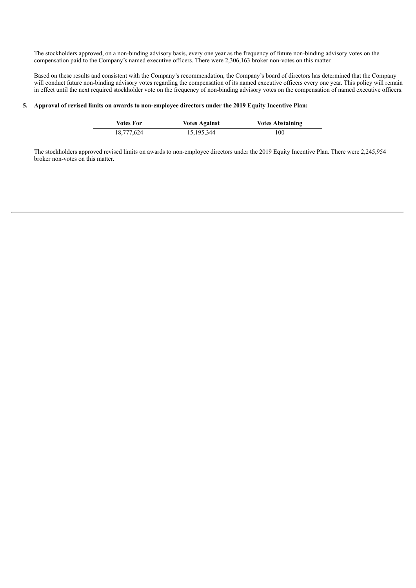The stockholders approved, on a non-binding advisory basis, every one year as the frequency of future non-binding advisory votes on the compensation paid to the Company's named executive officers. There were 2,306,163 broker non-votes on this matter.

Based on these results and consistent with the Company's recommendation, the Company's board of directors has determined that the Company will conduct future non-binding advisory votes regarding the compensation of its named executive officers every one year. This policy will remain in effect until the next required stockholder vote on the frequency of non-binding advisory votes on the compensation of named executive officers.

#### **5. Approval of revised limits on awards to non-employee directors under the 2019 Equity Incentive Plan:**

 $\overline{a}$ 

| Votes For  | <b>Votes Against</b> | <b>Votes Abstaining</b> |
|------------|----------------------|-------------------------|
| 18.777.624 | 15,195,344           | 100                     |

The stockholders approved revised limits on awards to non-employee directors under the 2019 Equity Incentive Plan. There were 2,245,954 broker non-votes on this matter.